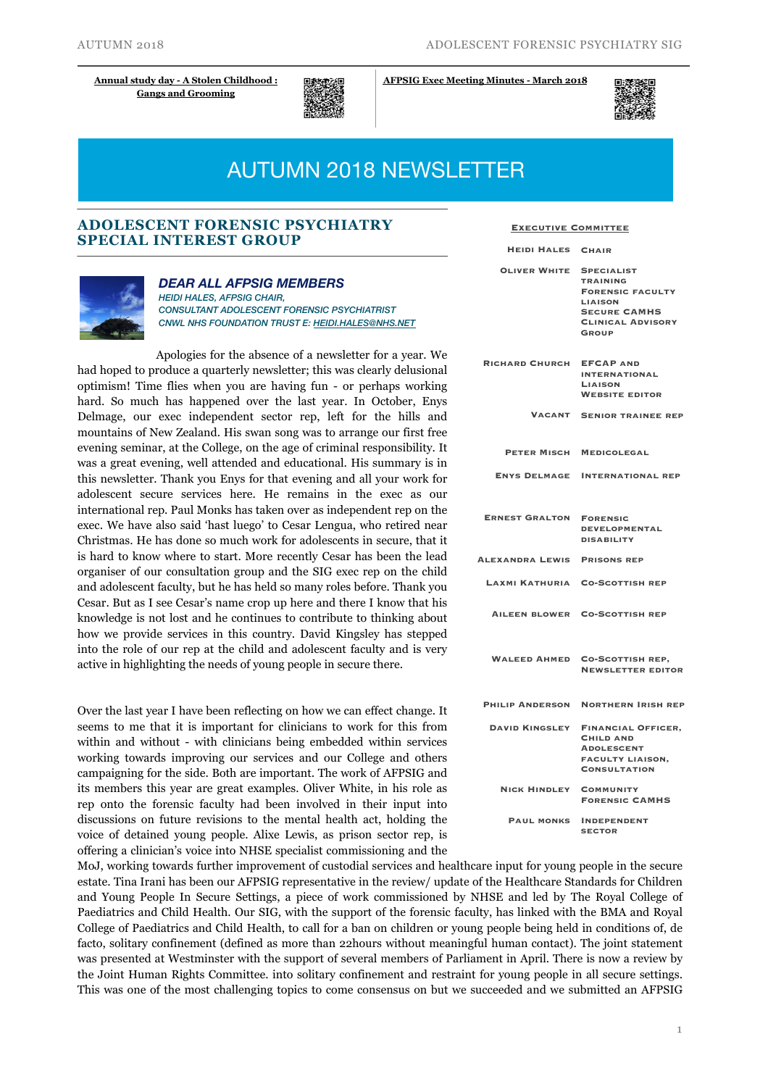**[Gangs and Grooming](https://www.rcpsych.ac.uk/traininpsychiatry/conferencestraining/conferencesandcourses/nov19_afpsig2018.aspx?dm_i=43OD,D9FK,48CVDM,1HBXQ,1)**



**[Annual study day - A Stolen Childhood :](https://www.rcpsych.ac.uk/traininpsychiatry/conferencestraining/conferencesandcourses/nov19_afpsig2018.aspx?dm_i=43OD,D9FK,48CVDM,1HBXQ,1) [AFPSIG Exec Meeting Minutes - March 2018](https://www.rcpsych.ac.uk/pdf/2018%2003%2001%20AFPSIG%20Business%20Mtg%20Forensic%20Faculty%20meeting%202.pdf)** 



# AUTUMN 2018 NEWSLETTER

## **ADOLESCENT FORENSIC PSYCHIATRY SPECIAL INTEREST GROUP**



#### *DEAR ALL AFPSIG MEMBERS*

*HEIDI HALES, AFPSIG CHAIR, CONSULTANT ADOLESCENT FORENSIC PSYCHIATRIST CNWL NHS FOUNDATION TRUST E: [HEIDI.HALES@NHS.NET](mailto:heidi.hales@nhs.net)*

Apologies for the absence of a newsletter for a year. We had hoped to produce a quarterly newsletter; this was clearly delusional optimism! Time flies when you are having fun - or perhaps working hard. So much has happened over the last year. In October, Enys Delmage, our exec independent sector rep, left for the hills and mountains of New Zealand. His swan song was to arrange our first free evening seminar, at the College, on the age of criminal responsibility. It was a great evening, well attended and educational. His summary is in this newsletter. Thank you Enys for that evening and all your work for adolescent secure services here. He remains in the exec as our international rep. Paul Monks has taken over as independent rep on the exec. We have also said 'hast luego' to Cesar Lengua, who retired near Christmas. He has done so much work for adolescents in secure, that it is hard to know where to start. More recently Cesar has been the lead organiser of our consultation group and the SIG exec rep on the child and adolescent faculty, but he has held so many roles before. Thank you Cesar. But as I see Cesar's name crop up here and there I know that his knowledge is not lost and he continues to contribute to thinking about how we provide services in this country. David Kingsley has stepped into the role of our rep at the child and adolescent faculty and is very active in highlighting the needs of young people in secure there.

Over the last year I have been reflecting on how we can effect change. It seems to me that it is important for clinicians to work for this from within and without - with clinicians being embedded within services working towards improving our services and our College and others campaigning for the side. Both are important. The work of AFPSIG and its members this year are great examples. Oliver White, in his role as rep onto the forensic faculty had been involved in their input into discussions on future revisions to the mental health act, holding the voice of detained young people. Alixe Lewis, as prison sector rep, is offering a clinician's voice into NHSE specialist commissioning and the

**Executive Committee**

| <b>HEIDI HALES</b>     | <b>CHAIR</b>                                                                                                                                         |
|------------------------|------------------------------------------------------------------------------------------------------------------------------------------------------|
| <b>OLIVER WHITE</b>    | <b>SPECIALIST</b><br><b>TRAINING</b><br><b>FORENSIC FACULTY</b><br><b>LIAISON</b><br><b>SECURE CAMHS</b><br><b>CLINICAL ADVISORY</b><br><b>GROUP</b> |
| <b>RICHARD CHURCH</b>  | <b>EFCAP AND</b><br><b>INTERNATIONAL</b><br><b>LIAISON</b><br><b>WEBSITE EDITOR</b>                                                                  |
| <b>VACANT</b>          | <b>SENIOR TRAINEE REP</b>                                                                                                                            |
| <b>PETER MISCH</b>     | <b>MEDICOLEGAL</b>                                                                                                                                   |
| <b>ENYS DELMAGE</b>    | <b>INTERNATIONAL REP</b>                                                                                                                             |
| <b>ERNEST GRALTON</b>  | <b>FORENSIC</b><br><b>DEVELOPMENTAL</b><br><b>DISABILITY</b>                                                                                         |
| <b>ALEXANDRA LEWIS</b> | <b>PRISONS REP</b>                                                                                                                                   |
| LAXMI KATHURIA         | <b>CO-SCOTTISH REP</b>                                                                                                                               |
| <b>AILEEN BLOWER</b>   | <b>CO-SCOTTISH REP</b>                                                                                                                               |
| <b>WALEED AHMED</b>    | <b>CO-SCOTTISH REP,</b><br><b>NEWSLETTER EDITOR</b>                                                                                                  |
| <b>PHILIP ANDERSON</b> | <b>NORTHERN IRISH REP</b>                                                                                                                            |
| <b>DAVID KINGSLEY</b>  | <b>FINANCIAL OFFICER,</b><br><b>CHILD AND</b><br><b>ADOLESCENT</b><br><b>FACULTY LIAISON,</b><br><b>CONSULTATION</b>                                 |
| <b>NICK HINDLEY</b>    | <b>COMMUNITY</b><br><b>FORENSIC CAMHS</b>                                                                                                            |
| <b>PAUL MONKS</b>      | <b>INDEPENDENT</b><br><b>SECTOR</b>                                                                                                                  |

MoJ, working towards further improvement of custodial services and healthcare input for young people in the secure estate. Tina Irani has been our AFPSIG representative in the review/ update of the Healthcare Standards for Children and Young People In Secure Settings, a piece of work commissioned by NHSE and led by The Royal College of Paediatrics and Child Health. Our SIG, with the support of the forensic faculty, has linked with the BMA and Royal College of Paediatrics and Child Health, to call for a ban on children or young people being held in conditions of, de facto, solitary confinement (defined as more than 22hours without meaningful human contact). The joint statement was presented at Westminster with the support of several members of Parliament in April. There is now a review by the Joint Human Rights Committee. into solitary confinement and restraint for young people in all secure settings. This was one of the most challenging topics to come consensus on but we succeeded and we submitted an AFPSIG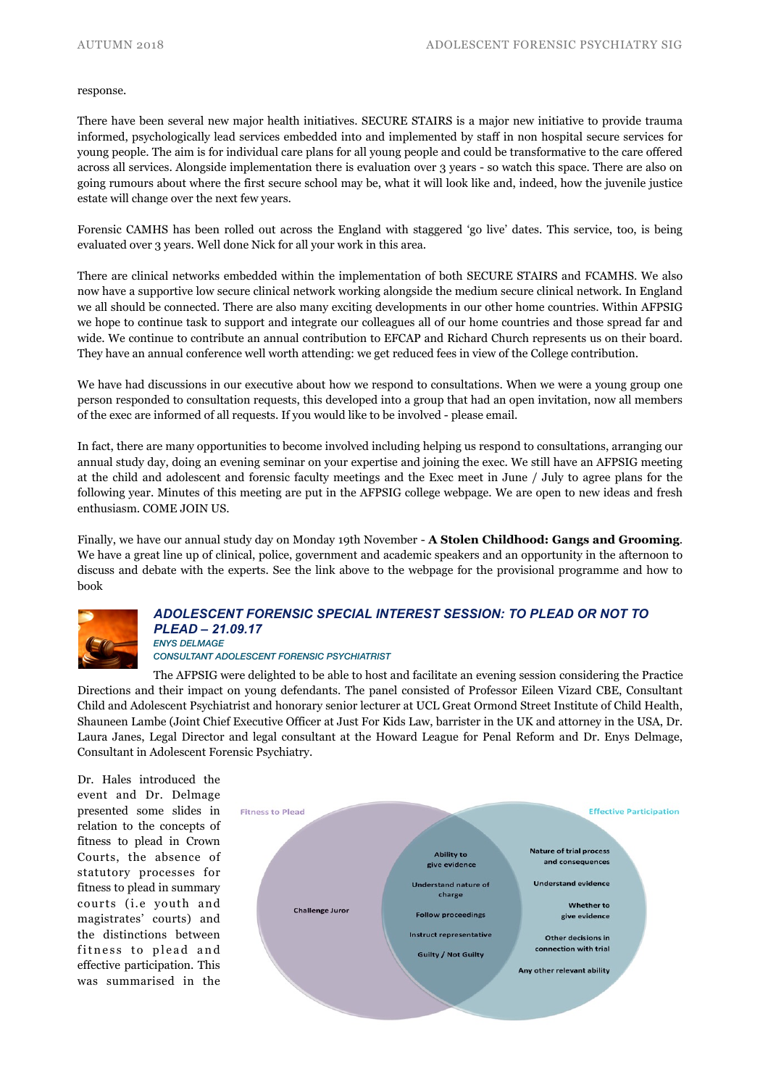#### response.

There have been several new major health initiatives. SECURE STAIRS is a major new initiative to provide trauma informed, psychologically lead services embedded into and implemented by staff in non hospital secure services for young people. The aim is for individual care plans for all young people and could be transformative to the care offered across all services. Alongside implementation there is evaluation over 3 years - so watch this space. There are also on going rumours about where the first secure school may be, what it will look like and, indeed, how the juvenile justice estate will change over the next few years.

Forensic CAMHS has been rolled out across the England with staggered 'go live' dates. This service, too, is being evaluated over 3 years. Well done Nick for all your work in this area.

There are clinical networks embedded within the implementation of both SECURE STAIRS and FCAMHS. We also now have a supportive low secure clinical network working alongside the medium secure clinical network. In England we all should be connected. There are also many exciting developments in our other home countries. Within AFPSIG we hope to continue task to support and integrate our colleagues all of our home countries and those spread far and wide. We continue to contribute an annual contribution to EFCAP and Richard Church represents us on their board. They have an annual conference well worth attending: we get reduced fees in view of the College contribution.

We have had discussions in our executive about how we respond to consultations. When we were a young group one person responded to consultation requests, this developed into a group that had an open invitation, now all members of the exec are informed of all requests. If you would like to be involved - please email.

In fact, there are many opportunities to become involved including helping us respond to consultations, arranging our annual study day, doing an evening seminar on your expertise and joining the exec. We still have an AFPSIG meeting at the child and adolescent and forensic faculty meetings and the Exec meet in June / July to agree plans for the following year. Minutes of this meeting are put in the AFPSIG college webpage. We are open to new ideas and fresh enthusiasm. COME JOIN US.

Finally, we have our annual study day on Monday 19th November - **A Stolen Childhood: Gangs and Grooming**. We have a great line up of clinical, police, government and academic speakers and an opportunity in the afternoon to discuss and debate with the experts. See the link above to the webpage for the provisional programme and how to book



#### *ADOLESCENT FORENSIC SPECIAL INTEREST SESSION: TO PLEAD OR NOT TO PLEAD – 21.09.17 ENYS DELMAGE*

### *CONSULTANT ADOLESCENT FORENSIC PSYCHIATRIST*

The AFPSIG were delighted to be able to host and facilitate an evening session considering the Practice Directions and their impact on young defendants. The panel consisted of Professor Eileen Vizard CBE, Consultant Child and Adolescent Psychiatrist and honorary senior lecturer at UCL Great Ormond Street Institute of Child Health, Shauneen Lambe (Joint Chief Executive Officer at Just For Kids Law, barrister in the UK and attorney in the USA, Dr. Laura Janes, Legal Director and legal consultant at the Howard League for Penal Reform and Dr. Enys Delmage, Consultant in Adolescent Forensic Psychiatry.

Dr. Hales introduced the event and Dr. Delmage presented some slides in relation to the concepts of fitness to plead in Crown Courts, the absence of statutory processes for fitness to plead in summary courts (i.e youth and magistrates' courts) and the distinctions between fitness to plead and effective participation. This was summarised in the